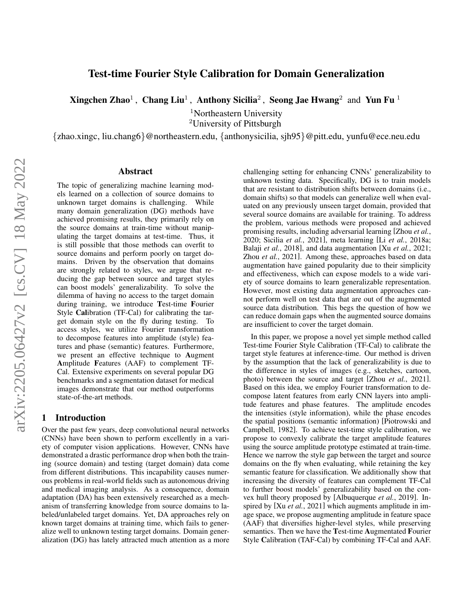# Test-time Fourier Style Calibration for Domain Generalization

Xingchen Zhao<sup>1</sup>, Chang Liu<sup>1</sup>, Anthony Sicilia<sup>2</sup>, Seong Jae Hwang<sup>2</sup> and Yun Fu<sup>1</sup>

<sup>1</sup>Northeastern University

<sup>2</sup>University of Pittsburgh

{zhao.xingc, liu.chang6}@northeastern.edu, {anthonysicilia, sjh95}@pitt.edu, yunfu@ece.neu.edu

### Abstract

The topic of generalizing machine learning models learned on a collection of source domains to unknown target domains is challenging. While many domain generalization (DG) methods have achieved promising results, they primarily rely on the source domains at train-time without manipulating the target domains at test-time. Thus, it is still possible that those methods can overfit to source domains and perform poorly on target domains. Driven by the observation that domains are strongly related to styles, we argue that reducing the gap between source and target styles can boost models' generalizability. To solve the dilemma of having no access to the target domain during training, we introduce Test-time Fourier Style Calibration (TF-Cal) for calibrating the target domain style on the fly during testing. To access styles, we utilize Fourier transformation to decompose features into amplitude (style) features and phase (semantic) features. Furthermore, we present an effective technique to Augment Amplitude Features (AAF) to complement TF-Cal. Extensive experiments on several popular DG benchmarks and a segmentation dataset for medical images demonstrate that our method outperforms state-of-the-art methods.

## 1 Introduction

Over the past few years, deep convolutional neural networks (CNNs) have been shown to perform excellently in a variety of computer vision applications. However, CNNs have demonstrated a drastic performance drop when both the training (source domain) and testing (target domain) data come from different distributions. This incapability causes numerous problems in real-world fields such as autonomous driving and medical imaging analysis. As a consequence, domain adaptation (DA) has been extensively researched as a mechanism of transferring knowledge from source domains to labeled/unlabeled target domains. Yet, DA approaches rely on known target domains at training time, which fails to generalize well to unknown testing target domains. Domain generalization (DG) has lately attracted much attention as a more challenging setting for enhancing CNNs' generalizability to unknown testing data. Specifically, DG is to train models that are resistant to distribution shifts between domains (i.e., domain shifts) so that models can generalize well when evaluated on any previously unseen target domain, provided that several source domains are available for training. To address the problem, various methods were proposed and achieved promising results, including adversarial learning [\[Zhou](#page-6-0) *et al.*, [2020;](#page-6-0) Sicilia *et al.*[, 2021\]](#page-6-1), meta learning [Li *et al.*[, 2018a;](#page-6-2) Balaji *et al.*[, 2018\]](#page-6-3), and data augmentation [Xu *et al.*[, 2021;](#page-6-4) Zhou *et al.*[, 2021\]](#page-6-5). Among these, approaches based on data augmentation have gained popularity due to their simplicity and effectiveness, which can expose models to a wide variety of source domains to learn generalizable representation. However, most existing data augmentation approaches cannot perform well on test data that are out of the augmented source data distribution. This begs the question of how we can reduce domain gaps when the augmented source domains are insufficient to cover the target domain.

In this paper, we propose a novel yet simple method called Test-time Fourier Style Calibration (TF-Cal) to calibrate the target style features at inference-time. Our method is driven by the assumption that the lack of generalizability is due to the difference in styles of images (e.g., sketches, cartoon, photo) between the source and target [Zhou *et al.*[, 2021\]](#page-6-5). Based on this idea, we employ Fourier transformation to decompose latent features from early CNN layers into amplitude features and phase features. The amplitude encodes the intensities (style information), while the phase encodes the spatial positions (semantic information) [\[Piotrowski and](#page-6-6) [Campbell, 1982\]](#page-6-6). To achieve test-time style calibration, we propose to convexly calibrate the target amplitude features using the source amplitude prototype estimated at train-time. Hence we narrow the style gap between the target and source domains on the fly when evaluating, while retaining the key semantic feature for classification. We additionally show that increasing the diversity of features can complement TF-Cal to further boost models' generalizability based on the convex hull theory proposed by [\[Albuquerque](#page-6-7) *et al.*, 2019]. Inspired by [Xu *et al.*[, 2021\]](#page-6-4) which augments amplitude in image space, we propose augmenting amplitude in feature space (AAF) that diversifies higher-level styles, while preserving semantics. Then we have the Test-time Augmentated Fourier Style Calibration (TAF-Cal) by combining TF-Cal and AAF.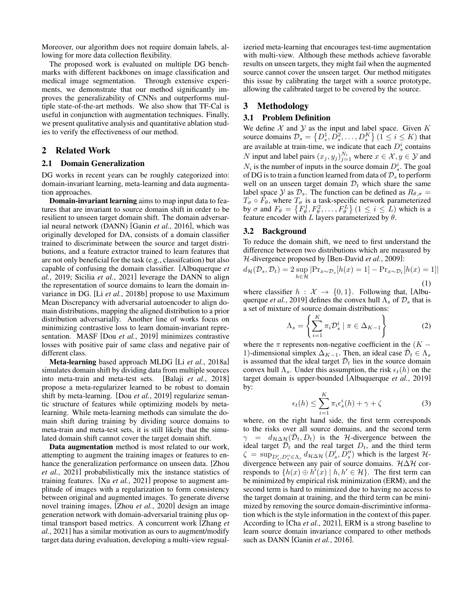Moreover, our algorithm does not require domain labels, allowing for more data collection flexibility.

The proposed work is evaluated on multiple DG benchmarks with different backbones on image classification and medical image segmentation. Through extensive experiments, we demonstrate that our method significantly improves the generalizability of CNNs and outperforms multiple state-of-the-art methods. We also show that TF-Cal is useful in conjunction with augmentation techniques. Finally, we present qualitative analysis and quantitative ablation studies to verify the effectiveness of our method.

## 2 Related Work

#### 2.1 Domain Generalization

DG works in recent years can be roughly categorized into: domain-invariant learning, meta-learning and data augmentation approaches.

Domain-invariant learning aims to map input data to features that are invariant to source domain shift in order to be resilient to unseen target domain shift. The domain adversarial neural network (DANN) [Ganin *et al.*[, 2016\]](#page-6-8), which was originally developed for DA, consists of a domain classifier trained to discriminate between the source and target distributions, and a feature extractor trained to learn features that are not only beneficial for the task (e.g., classifcation) but also capable of confusing the domain classifier. [\[Albuquerque](#page-6-7) *et al.*[, 2019;](#page-6-7) Sicilia *et al.*[, 2021\]](#page-6-1) leverage the DANN to align the representation of source domains to learn the domain invariance in DG. [Li *et al.*[, 2018b\]](#page-6-9) propose to use Maximum Mean Discrepancy with adversarial autoencoder to align domain distributions, mapping the aligned distribution to a prior distribution adversarially. Another line of works focus on minimizing contrastive loss to learn domain-invariant representation. MASF [Dou *et al.*[, 2019\]](#page-6-10) minimizes contrastive losses with positive pair of same class and negative pair of different class.

Meta-learning based approach MLDG [Li *et al.*[, 2018a\]](#page-6-2) simulates domain shift by dividing data from multiple sources into meta-train and meta-test sets. [Balaji *et al.*[, 2018\]](#page-6-3) propose a meta-regularizer learned to be robust to domain shift by meta-learning. [Dou *et al.*[, 2019\]](#page-6-10) regularize semantic structure of features while optimizing models by metalearning. While meta-learning methods can simulate the domain shift during training by dividing source domains to meta-train and meta-test sets, it is still likely that the simulated domain shift cannot cover the target domain shift.

Data augmentation method is most related to our work, attempting to augment the training images or features to enhance the generalization performance on unseen data. [\[Zhou](#page-6-5) *et al.*[, 2021\]](#page-6-5) probabilistically mix the instance statistics of training features. [Xu *et al.*[, 2021\]](#page-6-4) propose to augment amplitude of images with a regularization to form consistency between original and augmented images. To generate diverse novel training images, [Zhou *et al.*[, 2020\]](#page-6-0) design an image generation network with domain-adversarial training plus optimal transport based metrics. A concurrent work [\[Zhang](#page-6-11) *et al.*[, 2021\]](#page-6-11) has a similar motivation as ours to augment/modify target data during evaluation, developing a multi-view regualizeried meta-learning that encourages test-time augmentation with multi-view. Although these methods achieve favorable results on unseen targets, they might fail when the augmented source cannot cover the unseen target. Our method mitigates this issue by calibrating the target with a source prototype, allowing the calibrated target to be covered by the source.

## 3 Methodology

### 3.1 Problem Definition

We define  $X$  and  $Y$  as the input and label space. Given K source domains  $\mathcal{D}_s = \left\{ D_s^1, \overline{D}_s^2, \dots, D_s^K \right\}$   $(\overline{1} \leq i \leq K)$  that are available at train-time, we indicate that each  $D_s^i$  contains N input and label pairs  $(x_j, y_j)_{j=1}^{N_i}$  where  $x \in \mathcal{X}, y \in \mathcal{Y}$  and  $N_i$  is the number of inputs in the source domain  $D_s^i$ . The goal of DG is to train a function learned from data of  $\mathcal{D}_s$  to perform well on an unseen target domain  $\mathcal{D}_t$  which share the same label space  $\mathcal Y$  as  $\mathcal D_s$ . The function can be defined as  $R_{\theta,\sigma} =$  $T_{\sigma} \circ F_{\theta}$ , where  $T_{\sigma}$  is a task-specific network parameterized by  $\sigma$  and  $F_{\theta} = \{F_{\theta}^1, F_{\theta}^2, \dots, F_{\theta}^L\}$   $(1 \le i \le L)$  which is a feature encoder with L layers parameterized by  $\theta$ .

#### 3.2 Background

To reduce the domain shift, we need to first understand the difference between two distributions which are measured by H-divergence proposed by [\[Ben-David](#page-6-12) *et al.*, 2009]:

$$
d_{\mathcal{H}}(\mathcal{D}_s, \mathcal{D}_t) = 2 \sup_{h \in \mathcal{H}} |\text{Pr}_{x \sim \mathcal{D}_s}[h(x) = 1] - \text{Pr}_{x \sim \mathcal{D}_t}[h(x) = 1]|
$$
\n(1)

where classifier  $h : \mathcal{X} \to \{0, 1\}$ . Following that, [\[Albu](#page-6-7)[querque](#page-6-7) *et al.*, 2019] defines the convex hull  $\Lambda_s$  of  $\mathcal{D}_s$  that is a set of mixture of source domain distributions:

$$
\Lambda_s = \left\{ \sum_{i=1}^K \pi_i \mathcal{D}_s^i \mid \pi \in \Delta_{K-1} \right\} \tag{2}
$$

where the  $\pi$  represents non-negative coefficient in the  $(K -$ 1)-dimensional simplex  $\Delta_{K-1}$ . Then, an ideal case  $\bar{\mathcal{D}}_t \in \Lambda_s$ is assumed that the ideal target  $\bar{\mathcal{D}}_t$  lies in the source domain convex hull  $\Lambda_s$ . Under this assumption, the risk  $\epsilon_t(h)$  on the target domain is upper-bounded [\[Albuquerque](#page-6-7) *et al.*, 2019] by:

$$
\epsilon_t(h) \le \sum_{i=1}^K \pi_i \epsilon_s^i(h) + \gamma + \zeta \tag{3}
$$

<span id="page-1-0"></span>where, on the right hand side, the first term corresponds to the risks over all source domains, and the second term  $\gamma$  =  $d_{\mathcal{H} \Delta \mathcal{H}}(\bar{\mathcal{D}}_t, D_t)$  is the H-divergence between the ideal target  $\overline{\mathcal{D}_t}$  and the real target  $D_t$ , and the third term  $\zeta = \sup_{D'_s, D''_s \in \Lambda_s} d_{\mathcal{H} \Delta \mathcal{H}} (D'_s, \bar{D}''_s)$  which is the largest  $\mathcal{H}$ divergence between any pair of source domains.  $H\Delta H$  corresponds to  $\{h(x) \oplus h'(x) \mid h, h' \in \mathcal{H}\}\$ . The first term can be minimized by empirical risk minimization (ERM), and the second term is hard to minimized due to having no access to the target domain at training, and the third term can be minimized by removing the source domain-discrimintive information which is the style information in the context of this paper. According to [Cha *et al.*[, 2021\]](#page-6-13), ERM is a strong baseline to learn source domain invariance compared to other methods such as DANN [Ganin *et al.*[, 2016\]](#page-6-8).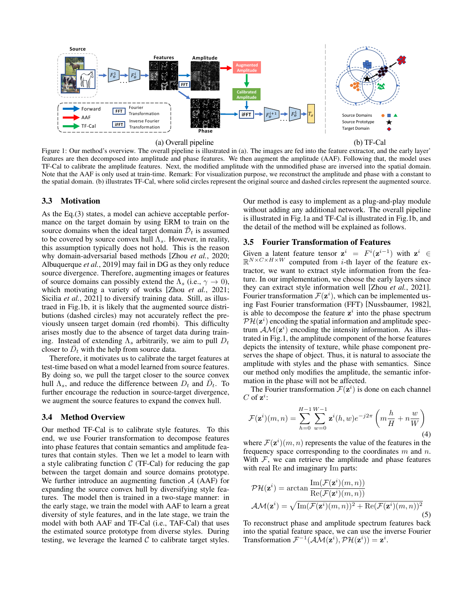<span id="page-2-0"></span>

Figure 1: Our method's overview. The overall pipeline is illustrated in (a). The images are fed into the feature extractor, and the early layer' features are then decomposed into amplitude and phase features. We then augment the amplitude (AAF). Following that, the model uses TF-Cal to calibrate the amplitude features. Next, the modified amplitude with the unmodified phase are inversed into the spatial domain. Note that the AAF is only used at train-time. Remark: For visualization purpose, we reconstruct the amplitude and phase with a constant to the spatial domain. (b) illustrates TF-Cal, where solid circles represent the original source and dashed circles represent the augmented source.

#### 3.3 Motivation

As the Eq.[\(3\)](#page-1-0) states, a model can achieve acceptable performance on the target domain by using ERM to train on the source domains when the ideal target domain  $\bar{\mathcal{D}}_t$  is assumed to be covered by source convex hull  $\Lambda_s$ . However, in reality, this assumption typically does not hold. This is the reason why domain-adversarial based methods [Zhou *et al.*[, 2020;](#page-6-0) [Albuquerque](#page-6-7) *et al.*, 2019] may fail in DG as they only reduce source divergence. Therefore, augmenting images or features of source domains can possibly extend the  $\Lambda_s$  (i.e.,  $\gamma \to 0$ ), which motivating a variety of works [Zhou *et al.*[, 2021;](#page-6-5) Sicilia *et al.*[, 2021\]](#page-6-1) to diversify training data. Still, as illustraed in Fig[.1b](#page-2-0), it is likely that the augmented source distributions (dashed circles) may not accurately reflect the previously unseen target domain (red rhombi). This difficulty arises mostly due to the absence of target data during training. Instead of extending  $\Lambda_s$  arbitrarily, we aim to pull  $D_t$ closer to  $\bar{D}_t$  with the help from source data.

Therefore, it motivates us to calibrate the target features at test-time based on what a model learned from source features. By doing so, we pull the target closer to the source convex hull  $\Lambda_s$ , and reduce the difference between  $D_t$  and  $\bar{D}_t$ . To further encourage the reduction in source-target divergence, we augment the source features to expand the convex hull.

#### 3.4 Method Overview

Our method TF-Cal is to calibrate style features. To this end, we use Fourier transformation to decompose features into phase features that contain semantics and amplitude features that contain styles. Then we let a model to learn with a style calibrating function  $C$  (TF-Cal) for reducing the gap between the target domain and source domains prototype. We further introduce an augmenting function  $A$  (AAF) for expanding the source convex hull by diversifying style features. The model then is trained in a two-stage manner: in the early stage, we train the model with AAF to learn a great diversity of style features, and in the late stage, we train the model with both AAF and TF-Cal (i.e., TAF-Cal) that uses the estimated source prototype from diverse styles. During testing, we leverage the learned  $C$  to calibrate target styles. Our method is easy to implement as a plug-and-play module without adding any additional network. The overall pipeline is illustrated in Fig[.1a](#page-2-0) and TF-Cal is illustrated in Fig[.1b](#page-2-0), and the detail of the method will be explained as follows.

### 3.5 Fourier Transformation of Features

Given a latent feature tensor  $z^i = F^i(z^{i-1})$  with  $z^i \in$  $\mathbb{R}^{N\times C\times H\times W}$  computed from *i*-th layer of the feature extractor, we want to extract style information from the feature. In our implementation, we choose the early layers since they can extract style information well [Zhou *et al.*[, 2021\]](#page-6-5). Fourier transformation  $\mathcal{F}(\mathbf{z}^i)$ , which can be implemented using Fast Fourier transformation (FFT) [\[Nussbaumer, 1982\]](#page-6-14), is able to decompose the feature  $z^i$  into the phase spectrum  $\mathcal{PH}(\mathbf{z}^i)$  encoding the spatial information and amplitude spectrum  $\mathcal{AM}(\mathbf{z}^i)$  encoding the intensity information. As illustrated in Fig[.1,](#page-2-0) the amplitude component of the horse features depicts the intensity of texture, while phase component preserves the shape of object. Thus, it is natural to associate the amplitude with styles and the phase with semantics. Since our method only modifies the amplitude, the semantic information in the phase will not be affected.

The Fourier transformation  $\mathcal{F}(\mathbf{z}^i)$  is done on each channel  $C$  of  $\mathbf{z}^i$ :

$$
\mathcal{F}(\mathbf{z}^{i})(m,n) = \sum_{h=0}^{H-1} \sum_{w=0}^{W-1} \mathbf{z}^{i}(h,w) e^{-j2\pi} \left(m\frac{h}{H} + n\frac{w}{W}\right)
$$
\n(4)

where  $\mathcal{F}(\mathbf{z}^i)(m,n)$  represents the value of the features in the frequency space corresponding to the coordinates  $m$  and  $n$ . With  $F$ , we can retrieve the amplitude and phase features with real Re and imaginary Im parts:

$$
\mathcal{PH}(\mathbf{z}^i) = \arctan \frac{\text{Im}(\mathcal{F}(\mathbf{z}^i)(m, n))}{\text{Re}(\mathcal{F}(\mathbf{z}^i)(m, n))}
$$

$$
\mathcal{AM}(\mathbf{z}^i) = \sqrt{\text{Im}(\mathcal{F}(\mathbf{z}^i)(m, n))^2 + \text{Re}(\mathcal{F}(\mathbf{z}^i)(m, n))^2}
$$
(5)

To reconstruct phase and amplitude spectrum features back into the spatial feature space, we can use the inverse Fourier Transformation  $\mathcal{F}^{-1}(\mathcal{AM}(\mathbf{z}^i), \mathcal{PH}(\mathbf{z}^i)) = \mathbf{z}^i$ .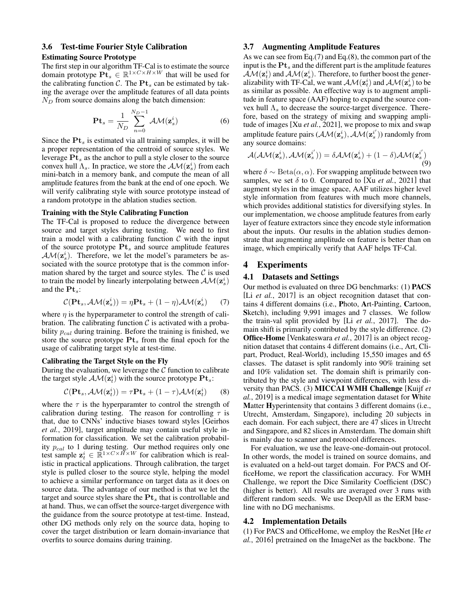## 3.6 Test-time Fourier Style Calibration

#### Estimating Source Prototype

The first step in our algorithm TF-Cal is to estimate the source domain prototype  $\mathbf{P} \mathbf{t}_s \in \mathbb{R}^{1 \times C \times H \times W}$  that will be used for the calibrating function C. The  $Pt_s$  can be estimated by taking the average over the amplitude features of all data points  $N_D$  from source domains along the batch dimension:

$$
\mathbf{Pt}_s = \frac{1}{N_D} \sum_{n=0}^{N_D - 1} \mathcal{AM}(\mathbf{z}_s^i)
$$
 (6)

Since the  $Pt<sub>s</sub>$  is estimated via all training samples, it will be a proper representation of the centroid of source styles. We leverage  $Pt_s$  as the anchor to pull a style closer to the source convex hull  $\Lambda_s$ . In practice, we store the  $\mathcal{AM}(\mathbf{z}_s^i)$  from each mini-batch in a memory bank, and compute the mean of all amplitude features from the bank at the end of one epoch. We will verify calibrating style with source prototype instead of a random prototype in the ablation studies section.

#### Training with the Style Calibrating Function

The TF-Cal is proposed to reduce the divergence between source and target styles during testing. We need to first train a model with a calibrating function  $C$  with the input of the source prototype  $Pt<sub>s</sub>$  and source amplitude features  $AM(\mathbf{z}_s^i)$ . Therefore, we let the model's parameters be associated with the source prototype that is the common information shared by the target and source styles. The  $\mathcal C$  is used to train the model by linearly interpolating between  $\mathcal{AM}(\mathbf{z}_s^i)$ and the  $Pt_s$ :

<span id="page-3-0"></span>
$$
\mathcal{C}(\mathbf{Pt}_s, \mathcal{AM}(\mathbf{z}_s^i)) = \eta \mathbf{Pt}_s + (1 - \eta)\mathcal{AM}(\mathbf{z}_s^i)
$$
 (7)

where  $\eta$  is the hyperparameter to control the strength of calibration. The calibrating function  $C$  is activated with a probability  $p_{cal}$  during training. Before the training is finished, we store the source prototype  $\mathbf{Pt}_s$  from the final epoch for the usage of calibrating target style at test-time.

### Calibrating the Target Style on the Fly

During the evaluation, we leverage the  $C$  function to calibrate the target style  $AM(\mathbf{z}_t^i)$  with the source prototype  $\mathbf{Pt}_s$ :

$$
\mathcal{C}(\mathbf{Pt}_s, \mathcal{AM}(\mathbf{z}_t^i)) = \tau \mathbf{Pt}_s + (1 - \tau)\mathcal{AM}(\mathbf{z}_t^i)
$$
(8)

where the  $\tau$  is the hyperparamter to control the strength of calibration during testing. The reason for controlling  $\tau$  is that, due to CNNs' inductive biases toward styles [\[Geirhos](#page-6-15) *et al.*[, 2019\]](#page-6-15), target amplitude may contain useful style information for classification. We set the calibration probability  $p_{cal}$  to 1 during testing. Our method requires only one test sample  $\mathbf{z}_t^i \in \mathbb{R}^{1 \times C \times H \times W}$  for calibration which is realistic in practical applications. Through calibration, the target style is pulled closer to the source style, helping the model to achieve a similar performance on target data as it does on source data. The advantage of our method is that we let the target and source styles share the  $Pt<sub>s</sub>$  that is controllable and at hand. Thus, we can offset the source-target divergence with the guidance from the source prototype at test-time. Instead, other DG methods only rely on the source data, hoping to cover the target distribution or learn domain-invariance that overfits to source domains during training.

### 3.7 Augmenting Amplitude Features

As we can see from Eq.[\(7\)](#page-3-0) and Eq.[\(8\)](#page-3-1), the common part of the input is the  $\mathbf{Pt}_s$  and the different part is the amplitude features  $\hat{\mathcal{AM}}(\mathbf{z}_t^i)$  and  $\hat{\mathcal{AM}}(\mathbf{z}_s^i)$ . Therefore, to further boost the generalizability with TF-Cal, we want  $\mathcal{AM}(\mathbf{z}_t^i)$  and  $\mathcal{AM}(\mathbf{z}_s^i)$  to be as similar as possible. An effective way is to augment amplitude in feature space (AAF) hoping to expand the source convex hull  $\Lambda_s$  to decrease the source-target divergence. Therefore, based on the strategy of mixing and swapping amplitude of images [Xu *et al.*[, 2021\]](#page-6-4), we propose to mix and swap amplitude feature pairs  $(\mathcal{AM}(\mathbf{z}_s^i), \mathcal{AM}(\mathbf{z}_s^{i'}))$  randomly from any source domains:

$$
\mathcal{A}(\mathcal{AM}(\mathbf{z}_{s}^{i}), \mathcal{AM}(\mathbf{z}_{s}^{i'})) = \delta \mathcal{AM}(\mathbf{z}_{s}^{i}) + (1 - \delta) \mathcal{AM}(\mathbf{z}_{s}^{i'})
$$
\n(9)

where  $\delta \sim \text{Beta}(\alpha, \alpha)$ . For swapping amplitude between two samples, we set  $\delta$  to 0. Compared to [Xu *et al.*[, 2021\]](#page-6-4) that augment styles in the image space, AAF utilizes higher level style information from features with much more channels, which provides additional statistics for diversifying styles. In our implementation, we choose amplitude features from early layer of feature extractors since they encode style information about the inputs. Our results in the ablation studies demonstrate that augmenting amplitude on feature is better than on image, which empirically verify that AAF helps TF-Cal.

## **Experiments**

#### 4.1 Datasets and Settings

Our method is evaluated on three DG benchmarks: (1) PACS [Li *et al.*[, 2017\]](#page-6-16) is an object recognition dataset that contains 4 different domains (i.e., Photo, Art-Painting, Cartoon, Sketch), including 9,991 images and 7 classes. We follow the train-val split provided by [Li *et al.*[, 2017\]](#page-6-16). The domain shift is primarily contributed by the style difference. (2) Office-Home [\[Venkateswara](#page-6-17) *et al.*, 2017] is an object recognition dataset that contains 4 different domains (i.e., Art, Clipart, Product, Real-World), including 15,550 images and 65 classes. The dataset is split randomly into 90% training set and 10% validation set. The domain shift is primarily contributed by the style and viewpoint differences, with less diversity than PACS. (3) MICCAI WMH Challenge [\[Kuijf](#page-6-18) *et al.*[, 2019\]](#page-6-18) is a medical image segmentation dataset for White Matter Hyperintensity that contains 3 different domains (i.e., Utrecht, Amsterdam, Singapore), including 20 subjects in each domain. For each subject, there are 47 slices in Utrecht and Singapore, and 82 slices in Amsterdam. The domain shift is mainly due to scanner and protocol differences.

<span id="page-3-1"></span>For evaluation, we use the leave-one-domain-out protocol. In other words, the model is trained on source domains, and is evaluated on a held-out target domain. For PACS and OfficeHome, we report the classification accuracy. For WMH Challenge, we report the Dice Similarity Coefficient (DSC) (higher is better). All results are averaged over 3 runs with different random seeds. We use DeepAll as the ERM baseline with no DG mechanisms.

#### 4.2 Implementation Details

(1) For PACS and OfficeHome, we employ the ResNet [\[He](#page-6-19) *et al.*[, 2016\]](#page-6-19) pretrained on the ImageNet as the backbone. The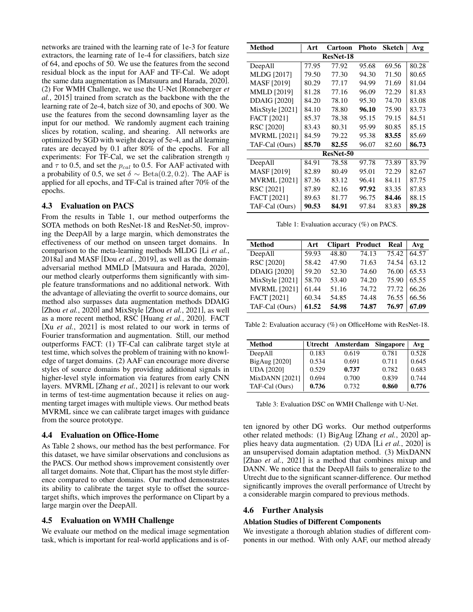networks are trained with the learning rate of 1e-3 for feature extractors, the learning rate of 1e-4 for classifiers, batch size of 64, and epochs of 50. We use the features from the second residual block as the input for AAF and TF-Cal. We adopt the same data augmentation as [\[Matsuura and Harada, 2020\]](#page-6-20). (2) For WMH Challenge, we use the U-Net [\[Ronneberger](#page-6-21) *et al.*[, 2015\]](#page-6-21) trained from scratch as the backbone with the the learning rate of 2e-4, batch size of 30, and epochs of 300. We use the features from the second downsamling layer as the input for our method. We randomly augment each training slices by rotation, scaling, and shearing. All networks are optimized by SGD with weight decay of 5e-4, and all learning rates are decayed by 0.1 after 80% of the epochs. For all experiments: For TF-Cal, we set the calibration strength  $\eta$ and  $\tau$  to 0.5, and set the  $p_{cal}$  to 0.5. For AAF activated with a probability of 0.5, we set  $\delta \sim \text{Beta}(0.2, 0.2)$ . The AAF is applied for all epochs, and TF-Cal is trained after 70% of the epochs.

## 4.3 Evaluation on PACS

From the results in Table [1,](#page-4-0) our method outperforms the SOTA methods on both ResNet-18 and ResNet-50, improving the DeepAll by a large margin, which demonstrates the effectiveness of our method on unseen target domains. In comparison to the meta-learning methods MLDG [Li *[et al.](#page-6-2)*, [2018a\]](#page-6-2) and MASF [Dou *et al.*[, 2019\]](#page-6-10), as well as the domainadversarial method MMLD [\[Matsuura and Harada, 2020\]](#page-6-20), our method clearly outperforms them significantly with simple feature transformations and no additional network. With the advantage of alleviating the overfit to source domains, our method also surpasses data augmentation methods DDAIG [Zhou *et al.*[, 2020\]](#page-6-0) and MixStyle [Zhou *et al.*[, 2021\]](#page-6-5), as well as a more recent method, RSC [\[Huang](#page-6-22) *et al.*, 2020]. FACT [Xu *et al.*[, 2021\]](#page-6-4) is most related to our work in terms of Fourier transformation and augmentation. Still, our method outperforms FACT: (1) TF-Cal can calibrate target style at test time, which solves the problem of training with no knowledge of target domains. (2) AAF can encourage more diverse styles of source domains by providing additional signals in higher-level style information via features from early CNN layers. MVRML [\[Zhang](#page-6-11) *et al.*, 2021] is relevant to our work in terms of test-time augmentation because it relies on augmenting target images with multiple views. Our method beats MVRML since we can calibrate target images with guidance from the source prototype.

## 4.4 Evaluation on Office-Home

As Table [2](#page-4-1) shows, our method has the best performance. For this dataset, we have similar observations and conclusions as the PACS. Our method shows improvement consistently over all target domains. Note that, Clipart has the most style difference compared to other domains. Our method demonstrates its ability to calibrate the target style to offset the sourcetarget shifts, which improves the performance on Clipart by a large margin over the DeepAll.

## 4.5 Evaluation on WMH Challenge

We evaluate our method on the medical image segmentation task, which is important for real-world applications and is of-

<span id="page-4-0"></span>

| <b>Method</b>       | Art   | <b>Cartoon</b> | <b>Photo</b> | Sketch | Avg   |  |  |
|---------------------|-------|----------------|--------------|--------|-------|--|--|
| <b>ResNet-18</b>    |       |                |              |        |       |  |  |
| DeepAll             | 77.95 | 77.92          | 95.68        | 69.56  | 80.28 |  |  |
| <b>MLDG</b> [2017]  | 79.50 | 77.30          | 94.30        | 71.50  | 80.65 |  |  |
| <b>MASF [2019]</b>  | 80.29 | 77.17          | 94.99        | 71.69  | 81.04 |  |  |
| <b>MMLD</b> [2019]  | 81.28 | 77.16          | 96.09        | 72.29  | 81.83 |  |  |
| <b>DDAIG [2020]</b> | 84.20 | 78.10          | 95.30        | 74.70  | 83.08 |  |  |
| MixStyle [2021]     | 84.10 | 78.80          | 96.10        | 75.90  | 83.73 |  |  |
| FACT [2021]         | 85.37 | 78.38          | 95.15        | 79.15  | 84.51 |  |  |
| RSC [2020]          | 83.43 | 80.31          | 95.99        | 80.85  | 85.15 |  |  |
| <b>MVRML</b> [2021] | 84.59 | 79.22          | 95.38        | 83.55  | 85.69 |  |  |
| TAF-Cal (Ours)      | 85.70 | 82.55          | 96.07        | 82.60  | 86.73 |  |  |
| ResNet-50           |       |                |              |        |       |  |  |
| DeepAll             | 84.91 | 78.58          | 97.78        | 73.89  | 83.79 |  |  |
| MASF [2019]         | 82.89 | 80.49          | 95.01        | 72.29  | 82.67 |  |  |
| MVRML [2021]        | 87.36 | 83.12          | 96.41        | 84.11  | 87.75 |  |  |
| RSC [2021]          | 87.89 | 82.16          | 97.92        | 83.35  | 87.83 |  |  |
| FACT [2021]         | 89.63 | 81.77          | 96.75        | 84.46  | 88.15 |  |  |
| TAF-Cal (Ours)      | 90.53 | 84.91          | 97.84        | 83.83  | 89.28 |  |  |

|  |  | Table 1: Evaluation accuracy $(\%)$ on PACS. |  |  |  |
|--|--|----------------------------------------------|--|--|--|
|--|--|----------------------------------------------|--|--|--|

<span id="page-4-1"></span>

| <b>Method</b>       | Art   | <b>Clipart</b> | Product | Real  | Avg   |
|---------------------|-------|----------------|---------|-------|-------|
| DeepAll             | 59.93 | 48.80          | 74.13   | 75.42 | 64.57 |
| RSC [2020]          | 58.42 | 47.90          | 71.63   | 74.54 | 63.12 |
| <b>DDAIG [2020]</b> | 59.20 | 52.30          | 74.60   | 76.00 | 65.53 |
| MixStyle [2021]     | 58.70 | 53.40          | 74.20   | 75.90 | 65.55 |
| <b>MVRML</b> [2021] | 61.44 | 51.16          | 74.72   | 77.72 | 66.26 |
| FACT [2021]         | 60.34 | 54.85          | 74.48   | 76.55 | 66.56 |
| TAF-Cal (Ours)      | 61.52 | 54.98          | 74.87   | 76.97 | 67.09 |

Table 2: Evaluation accuracy (%) on OfficeHome with ResNet-18.

| Method                | Utrecht | Amsterdam | <b>Singapore</b> | Avg   |
|-----------------------|---------|-----------|------------------|-------|
| DeepAll               | 0.183   | 0.619     | 0.781            | 0.528 |
| BigAug [2020]         | 0.534   | 0.691     | 0.711            | 0.645 |
| <b>UDA [2020]</b>     | 0.529   | 0.737     | 0.782            | 0.683 |
| <b>MixDANN</b> [2021] | 0.694   | 0.700     | 0.839            | 0.744 |
| TAF-Cal (Ours)        | 0.736   | 0.732     | 0.860            | 0.776 |

Table 3: Evaluation DSC on WMH Challenge with U-Net.

ten ignored by other DG works. Our method outperforms other related methods: (1) BigAug [Zhang *et al.*[, 2020\]](#page-6-23) applies heavy data augmentation. (2) UDA [Li *et al.*[, 2020\]](#page-6-24) is an unsupervised domain adaptation method. (3) MixDANN [Zhao *et al.*[, 2021\]](#page-6-25) is a method that combines mixup and DANN. We notice that the DeepAll fails to generalize to the Utrecht due to the significant scanner-difference. Our method significantly improves the overall performance of Utrecht by a considerable margin compared to previous methods.

## 4.6 Further Analysis

## Ablation Studies of Different Components

We investigate a thorough ablation studies of different components in our method. With only AAF, our method already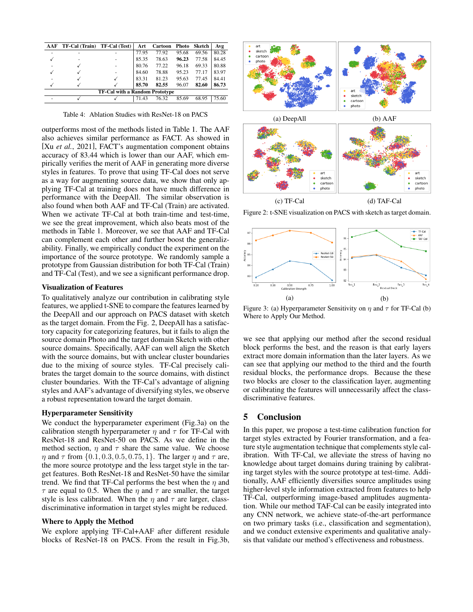| AAF                                   | TF-Cal (Train) | <b>TF-Cal</b> (Test) | Art   | <b>Cartoon</b> | Photo | Sketch | Avg   |
|---------------------------------------|----------------|----------------------|-------|----------------|-------|--------|-------|
|                                       |                |                      | 77.95 | 77.92          | 95.68 | 69.56  | 80.28 |
|                                       |                |                      | 85.35 | 78.63          | 96.23 | 77.58  | 84.45 |
|                                       |                |                      | 80.76 | 77.22          | 96.18 | 69.33  | 80.88 |
|                                       |                | ۰                    | 84.60 | 78.88          | 95.23 | 77.17  | 83.97 |
|                                       |                |                      | 83.31 | 81.23          | 95.63 | 77.45  | 84.41 |
|                                       |                |                      | 85.70 | 82.55          | 96.07 | 82.60  | 86.73 |
| <b>TF-Cal with a Random Prototype</b> |                |                      |       |                |       |        |       |
|                                       |                |                      | 71.43 | 76.32          | 85.69 | 68.95  | 75.60 |
|                                       |                |                      |       |                |       |        |       |

Table 4: Ablation Studies with ResNet-18 on PACS

outperforms most of the methods listed in Table [1.](#page-4-0) The AAF also achieves similar performance as FACT. As showed in [Xu *et al.*[, 2021\]](#page-6-4), FACT's augmentation component obtains accuracy of 83.44 which is lower than our AAF, which empirically verifies the merit of AAF in generating more diverse styles in features. To prove that using TF-Cal does not serve as a way for augmenting source data, we show that only applying TF-Cal at training does not have much difference in performance with the DeepAll. The similar observation is also found when both AAF and TF-Cal (Train) are activated. When we activate TF-Cal at both train-time and test-time, we see the great improvement, which also beats most of the methods in Table [1.](#page-4-0) Moreover, we see that AAF and TF-Cal can complement each other and further boost the generalizability. Finally, we empirically conduct the experiment on the importance of the source prototype. We randomly sample a prototype from Gaussian distribution for both TF-Cal (Train) and TF-Cal (Test), and we see a significant performance drop.

### Visualization of Features

To qualitatively analyze our contribution in calibrating style features, we applied t-SNE to compare the features learned by the DeepAll and our approach on PACS dataset with sketch as the target domain. From the Fig. [2,](#page-5-0) DeepAll has a satisfactory capacity for categorizing features, but it fails to align the source domain Photo and the target domain Sketch with other source domains. Specifically, AAF can well align the Sketch with the source domains, but with unclear cluster boundaries due to the mixing of source styles. TF-Cal precisely calibrates the target domain to the source domains, with distinct cluster boundaries. With the TF-Cal's advantage of aligning styles and AAF's advantage of diversifying styles, we observe a robust representation toward the target domain.

#### Hyperparameter Sensitivity

We conduct the hyperparameter experiment (Fig[.3a](#page-5-1)) on the calibration stength hyperparameter  $\eta$  and  $\tau$  for TF-Cal with ResNet-18 and ResNet-50 on PACS. As we define in the method section,  $\eta$  and  $\tau$  share the same value. We choose  $\eta$  and  $\tau$  from  $\{0.1, 0.3, 0.5, 0.75, 1\}$ . The larger  $\eta$  and  $\tau$  are, the more source prototype and the less target style in the target features. Both ResNet-18 and ResNet-50 have the similar trend. We find that TF-Cal performs the best when the  $\eta$  and  $\tau$  are equal to 0.5. When the  $\eta$  and  $\tau$  are smaller, the target style is less calibrated. When the  $\eta$  and  $\tau$  are larger, classdiscriminative information in target styles might be reduced.

#### Where to Apply the Method

We explore applying TF-Cal+AAF after different residule blocks of ResNet-18 on PACS. From the result in Fig[.3b](#page-5-1),

<span id="page-5-0"></span>

Figure 2: t-SNE visualization on PACS with sketch as target domain.

<span id="page-5-1"></span>

Figure 3: (a) Hyperparameter Sensitivity on  $\eta$  and  $\tau$  for TF-Cal (b) Where to Apply Our Method.

we see that applying our method after the second residual block performs the best, and the reason is that early layers extract more domain information than the later layers. As we can see that applying our method to the third and the fourth residual blocks, the performance drops. Because the these two blocks are closer to the classification layer, augmenting or calibrating the features will unnecessarily affect the classdiscriminative features.

## 5 Conclusion

In this paper, we propose a test-time calibration function for target styles extracted by Fourier transformation, and a feature style augmentation technique that complements style calibration. With TF-Cal, we alleviate the stress of having no knowledge about target domains during training by calibrating target styles with the source prototype at test-time. Additionally, AAF efficiently diversifies source amplitudes using higher-level style information extracted from features to help TF-Cal, outperforming image-based amplitudes augmentation. While our method TAF-Cal can be easily integrated into any CNN network, we achieve state-of-the-art performance on two primary tasks (i.e., classification and segmentation), and we conduct extensive experiments and qualitative analysis that validate our method's effectiveness and robustness.